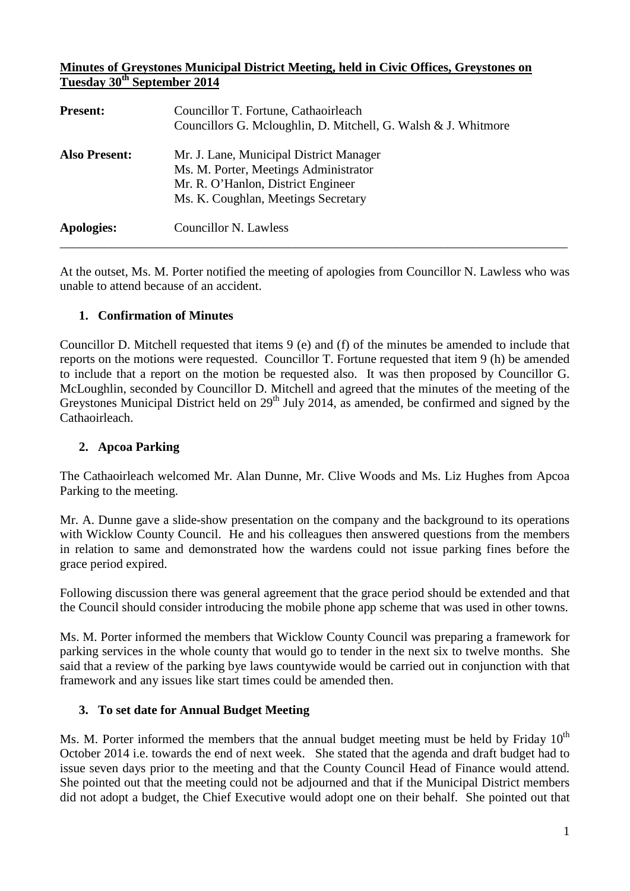## **Minutes of Greystones Municipal District Meeting, held in Civic Offices, Greystones on Tuesday 30th September 2014**

| <b>Present:</b>      | Councillor T. Fortune, Cathaoirleach<br>Councillors G. Mcloughlin, D. Mitchell, G. Walsh & J. Whitmore                                                        |
|----------------------|---------------------------------------------------------------------------------------------------------------------------------------------------------------|
| <b>Also Present:</b> | Mr. J. Lane, Municipal District Manager<br>Ms. M. Porter, Meetings Administrator<br>Mr. R. O'Hanlon, District Engineer<br>Ms. K. Coughlan, Meetings Secretary |
| <b>Apologies:</b>    | Councillor N. Lawless                                                                                                                                         |

At the outset, Ms. M. Porter notified the meeting of apologies from Councillor N. Lawless who was unable to attend because of an accident.

# **1. Confirmation of Minutes**

Councillor D. Mitchell requested that items 9 (e) and (f) of the minutes be amended to include that reports on the motions were requested. Councillor T. Fortune requested that item 9 (h) be amended to include that a report on the motion be requested also. It was then proposed by Councillor G. McLoughlin, seconded by Councillor D. Mitchell and agreed that the minutes of the meeting of the Greystones Municipal District held on  $29<sup>th</sup>$  July 2014, as amended, be confirmed and signed by the Cathaoirleach.

# **2. Apcoa Parking**

The Cathaoirleach welcomed Mr. Alan Dunne, Mr. Clive Woods and Ms. Liz Hughes from Apcoa Parking to the meeting.

Mr. A. Dunne gave a slide-show presentation on the company and the background to its operations with Wicklow County Council. He and his colleagues then answered questions from the members in relation to same and demonstrated how the wardens could not issue parking fines before the grace period expired.

Following discussion there was general agreement that the grace period should be extended and that the Council should consider introducing the mobile phone app scheme that was used in other towns.

Ms. M. Porter informed the members that Wicklow County Council was preparing a framework for parking services in the whole county that would go to tender in the next six to twelve months. She said that a review of the parking bye laws countywide would be carried out in conjunction with that framework and any issues like start times could be amended then.

#### **3. To set date for Annual Budget Meeting**

Ms. M. Porter informed the members that the annual budget meeting must be held by Friday  $10<sup>th</sup>$ October 2014 i.e. towards the end of next week. She stated that the agenda and draft budget had to issue seven days prior to the meeting and that the County Council Head of Finance would attend. She pointed out that the meeting could not be adjourned and that if the Municipal District members did not adopt a budget, the Chief Executive would adopt one on their behalf. She pointed out that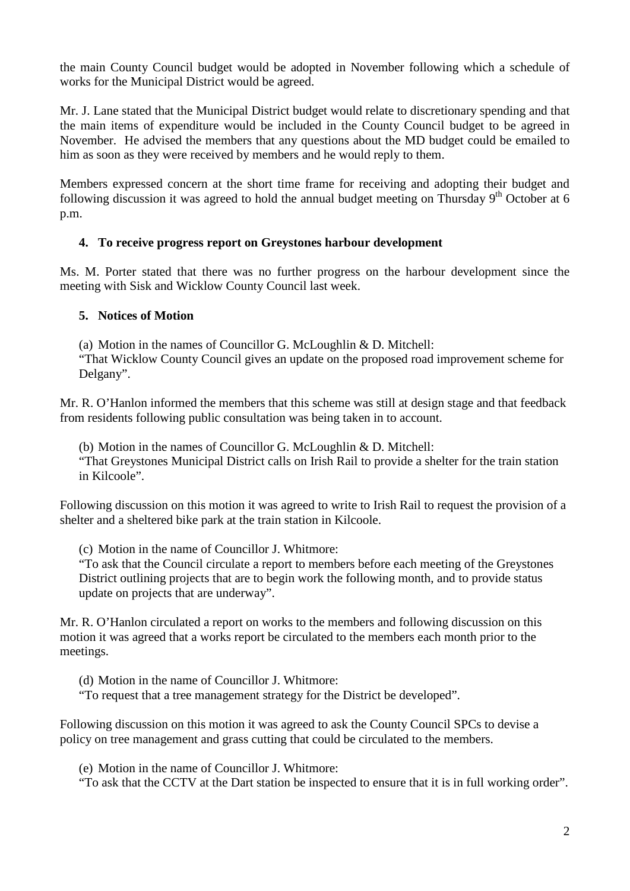the main County Council budget would be adopted in November following which a schedule of works for the Municipal District would be agreed.

Mr. J. Lane stated that the Municipal District budget would relate to discretionary spending and that the main items of expenditure would be included in the County Council budget to be agreed in November. He advised the members that any questions about the MD budget could be emailed to him as soon as they were received by members and he would reply to them.

Members expressed concern at the short time frame for receiving and adopting their budget and following discussion it was agreed to hold the annual budget meeting on Thursday  $9<sup>th</sup>$  October at 6 p.m.

# **4. To receive progress report on Greystones harbour development**

Ms. M. Porter stated that there was no further progress on the harbour development since the meeting with Sisk and Wicklow County Council last week.

# **5. Notices of Motion**

(a) Motion in the names of Councillor G. McLoughlin & D. Mitchell: "That Wicklow County Council gives an update on the proposed road improvement scheme for Delgany".

Mr. R. O'Hanlon informed the members that this scheme was still at design stage and that feedback from residents following public consultation was being taken in to account.

(b) Motion in the names of Councillor G. McLoughlin & D. Mitchell: "That Greystones Municipal District calls on Irish Rail to provide a shelter for the train station in Kilcoole".

Following discussion on this motion it was agreed to write to Irish Rail to request the provision of a shelter and a sheltered bike park at the train station in Kilcoole.

(c) Motion in the name of Councillor J. Whitmore:

"To ask that the Council circulate a report to members before each meeting of the Greystones District outlining projects that are to begin work the following month, and to provide status update on projects that are underway".

Mr. R. O'Hanlon circulated a report on works to the members and following discussion on this motion it was agreed that a works report be circulated to the members each month prior to the meetings.

(d) Motion in the name of Councillor J. Whitmore:

"To request that a tree management strategy for the District be developed".

Following discussion on this motion it was agreed to ask the County Council SPCs to devise a policy on tree management and grass cutting that could be circulated to the members.

(e) Motion in the name of Councillor J. Whitmore:

"To ask that the CCTV at the Dart station be inspected to ensure that it is in full working order".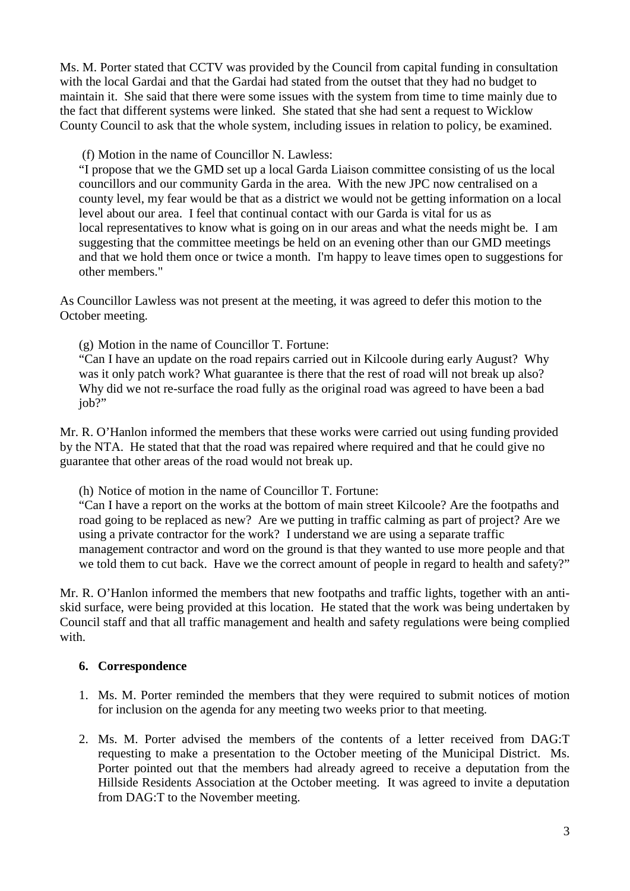Ms. M. Porter stated that CCTV was provided by the Council from capital funding in consultation with the local Gardai and that the Gardai had stated from the outset that they had no budget to maintain it. She said that there were some issues with the system from time to time mainly due to the fact that different systems were linked. She stated that she had sent a request to Wicklow County Council to ask that the whole system, including issues in relation to policy, be examined.

(f) Motion in the name of Councillor N. Lawless:

"I propose that we the GMD set up a local Garda Liaison committee consisting of us the local councillors and our community Garda in the area. With the new JPC now centralised on a county level, my fear would be that as a district we would not be getting information on a local level about our area. I feel that continual contact with our Garda is vital for us as local representatives to know what is going on in our areas and what the needs might be. I am suggesting that the committee meetings be held on an evening other than our GMD meetings and that we hold them once or twice a month. I'm happy to leave times open to suggestions for other members."

As Councillor Lawless was not present at the meeting, it was agreed to defer this motion to the October meeting.

(g) Motion in the name of Councillor T. Fortune:

"Can I have an update on the road repairs carried out in Kilcoole during early August? Why was it only patch work? What guarantee is there that the rest of road will not break up also? Why did we not re-surface the road fully as the original road was agreed to have been a bad job?"

Mr. R. O'Hanlon informed the members that these works were carried out using funding provided by the NTA. He stated that that the road was repaired where required and that he could give no guarantee that other areas of the road would not break up.

(h) Notice of motion in the name of Councillor T. Fortune:

"Can I have a report on the works at the bottom of main street Kilcoole? Are the footpaths and road going to be replaced as new? Are we putting in traffic calming as part of project? Are we using a private contractor for the work? I understand we are using a separate traffic management contractor and word on the ground is that they wanted to use more people and that we told them to cut back. Have we the correct amount of people in regard to health and safety?"

Mr. R. O'Hanlon informed the members that new footpaths and traffic lights, together with an antiskid surface, were being provided at this location. He stated that the work was being undertaken by Council staff and that all traffic management and health and safety regulations were being complied with.

# **6. Correspondence**

- 1. Ms. M. Porter reminded the members that they were required to submit notices of motion for inclusion on the agenda for any meeting two weeks prior to that meeting.
- 2. Ms. M. Porter advised the members of the contents of a letter received from DAG:T requesting to make a presentation to the October meeting of the Municipal District. Ms. Porter pointed out that the members had already agreed to receive a deputation from the Hillside Residents Association at the October meeting. It was agreed to invite a deputation from DAG:T to the November meeting.